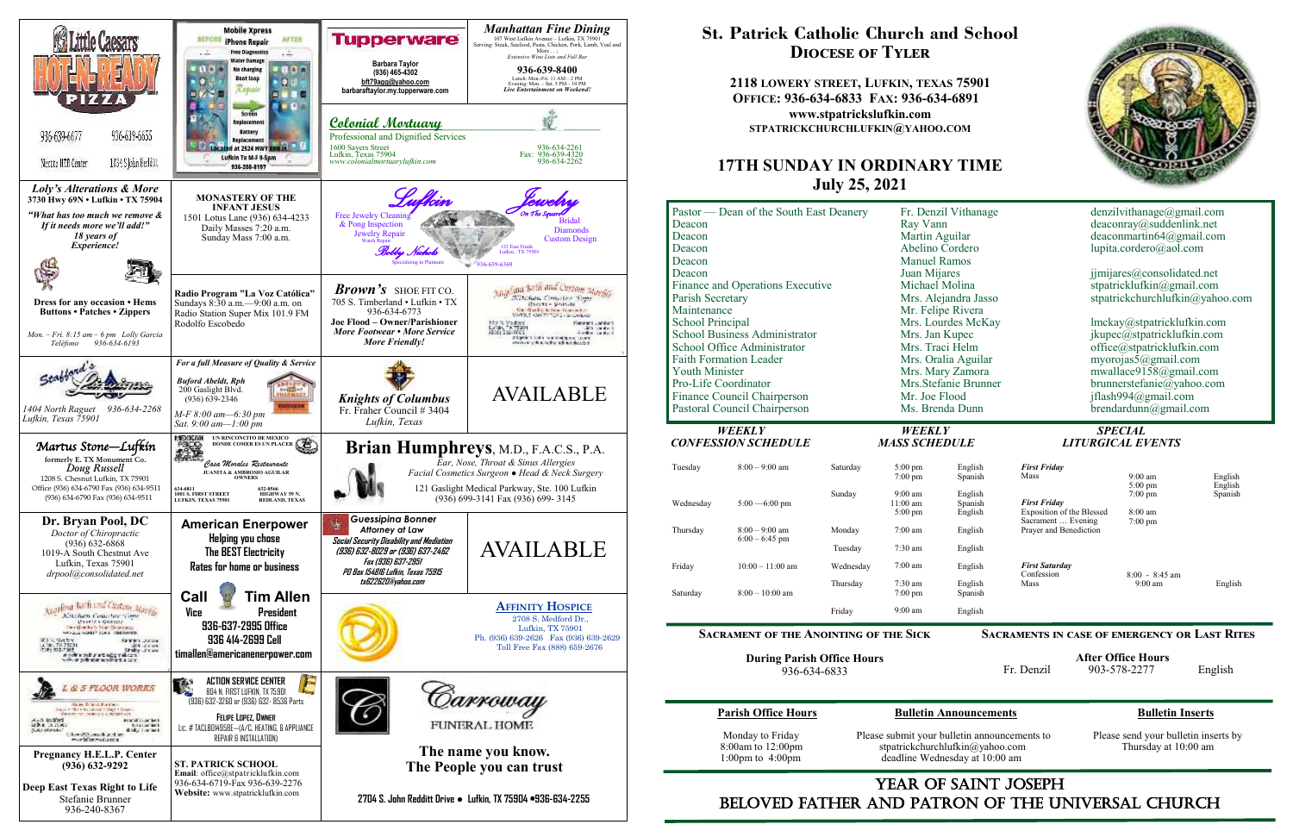

## YEAR OF SAINT JOSEPH beloved father AND Patron of the Universal Church

| <b>First Friday</b>       |                    |                                                    |
|---------------------------|--------------------|----------------------------------------------------|
| Mass                      | $9:00$ am          | English                                            |
|                           | $5:00 \text{ pm}$  | English                                            |
|                           |                    | Spanish                                            |
| <b>First Friday</b>       |                    |                                                    |
| Exposition of the Blessed | $8:00 \text{ am}$  |                                                    |
| Sacrament  Evening        | $7:00 \text{ pm}$  |                                                    |
| Prayer and Benediction    |                    |                                                    |
|                           |                    |                                                    |
| <b>First Saturday</b>     |                    |                                                    |
|                           |                    |                                                    |
|                           |                    | English                                            |
|                           |                    |                                                    |
|                           |                    |                                                    |
|                           | Confession<br>Mass | $7:00 \text{ pm}$<br>$8:00 - 8:45$ am<br>$9:00$ am |

# **St. Patrick Catholic Church and School Diocese of Tyler**

**2118 LOWERY STREET, LUFKIN, TEXAS 75901 OFFICE: 936-634-6833 FAX: 936-634-6891 www.stpatrickslufkin.com STPATRICKCHURCHLUFKIN@YAHOO.COM**

### **17TH SUNDAY IN ORDINARY TIME July 25, 2021**

| Pastor — Dean of the South East Deanery<br>Deacon<br>Deacon<br>Deacon<br>Deacon                                                                                                                                                                                                                                                  |                                             | Fr. Denzil Vithanage<br>Ray Vann<br>Martin Aguilar<br>Abelino Cordero<br><b>Manuel Ramos</b>                                                                                                                                                  |                                           | denzilvithanage@gmail.com<br>deaconray@suddenlink.net<br>deaconmartin $64@g$ mail.com<br>lupita.cordero@aol.com                                                                                                                                                                                                       |                                                                        |                                            |                               |
|----------------------------------------------------------------------------------------------------------------------------------------------------------------------------------------------------------------------------------------------------------------------------------------------------------------------------------|---------------------------------------------|-----------------------------------------------------------------------------------------------------------------------------------------------------------------------------------------------------------------------------------------------|-------------------------------------------|-----------------------------------------------------------------------------------------------------------------------------------------------------------------------------------------------------------------------------------------------------------------------------------------------------------------------|------------------------------------------------------------------------|--------------------------------------------|-------------------------------|
| Deacon<br>Finance and Operations Executive<br>Parish Secretary<br>Maintenance<br><b>School Principal</b><br><b>School Business Administrator</b><br>School Office Administrator<br><b>Faith Formation Leader</b><br><b>Youth Minister</b><br>Pro-Life Coordinator<br>Finance Council Chairperson<br>Pastoral Council Chairperson |                                             | Juan Mijares<br>Michael Molina<br>Mrs. Alejandra Jasso<br>Mr. Felipe Rivera<br>Mrs. Lourdes McKay<br>Mrs. Jan Kupec<br>Mrs. Traci Helm<br>Mrs. Oralia Aguilar<br>Mrs. Mary Zamora<br>Mrs.Stefanie Brunner<br>Mr. Joe Flood<br>Ms. Brenda Dunn |                                           | jimijares@consolidated.net<br>stpatricklufkin@gmail.com<br>stpatrickchurchlufkin@yahoo.com<br>lmckay@stpatricklufkin.com<br>jkupec@stpatricklufkin.com<br>office@stpatricklufkin.com<br>myorojas5@gmail.com<br>mwallace9158@gmail.com<br>brunnerstefanie@yahoo.com<br>jflash994@gmail.com<br>$b$ rendardunn@gmail.com |                                                                        |                                            |                               |
|                                                                                                                                                                                                                                                                                                                                  | <b>WEEKLY</b><br><b>CONFESSION SCHEDULE</b> |                                                                                                                                                                                                                                               | WEEKLY<br><b>MASS SCHEDULE</b>            |                                                                                                                                                                                                                                                                                                                       |                                                                        | <b>SPECIAL</b><br><b>LITURGICAL EVENTS</b> |                               |
| Tuesday                                                                                                                                                                                                                                                                                                                          | $8:00 - 9:00$ am                            | Saturday<br>Sunday                                                                                                                                                                                                                            | 5:00 pm<br>$7:00 \text{ pm}$<br>$9:00$ am | English<br>Spanish<br>English                                                                                                                                                                                                                                                                                         | <b>First Friday</b><br>Mass                                            | $9:00 \text{ am}$<br>5:00 pm<br>$7:00$ pm  | English<br>English<br>Spanish |
| Wednesday                                                                                                                                                                                                                                                                                                                        | $5:00 - 6:00$ pm                            |                                                                                                                                                                                                                                               | 11:00 am<br>$5:00$ pm                     | Spanish<br>English                                                                                                                                                                                                                                                                                                    | <b>First Friday</b><br>Exposition of the Blessed<br>Sacrament  Evening | $8:00$ am<br>7:00 pm                       |                               |
| Thursday                                                                                                                                                                                                                                                                                                                         | $8:00 - 9:00$ am<br>$6:00 - 6:45$ pm        | Monday<br>Tuesday                                                                                                                                                                                                                             | $7:00$ am<br>$7:30$ am                    | English<br>English                                                                                                                                                                                                                                                                                                    | Prayer and Benediction                                                 |                                            |                               |
| Friday                                                                                                                                                                                                                                                                                                                           | $10:00 - 11:00$ am                          | Wednesday                                                                                                                                                                                                                                     | $7:00$ am                                 | English                                                                                                                                                                                                                                                                                                               | <b>First Saturday</b><br>Confession                                    | $8:00 - 8:45$ am                           |                               |
| Saturday                                                                                                                                                                                                                                                                                                                         | $8:00 - 10:00$ am                           | Thursday                                                                                                                                                                                                                                      | $7:30$ am<br>7:00 pm                      | English<br>Spanish                                                                                                                                                                                                                                                                                                    | Mass                                                                   | $9:00 \text{ am}$                          | English                       |
|                                                                                                                                                                                                                                                                                                                                  |                                             | Friday                                                                                                                                                                                                                                        | $9:00 \text{ am}$                         | English                                                                                                                                                                                                                                                                                                               |                                                                        |                                            |                               |

**Parish Office Hours Bulletin Announcements Bulletin Inserts**

lline Wednesday at 10:00 am

mit your bulletin announcements to Please send your bulletin inserts by  $\text{rickchurchlufkin}(\hat{a})$ yahoo.com Thursday at 10:00 am

**During Parish Office Hours**  936-634-6833

| <b>Parish Office Hours</b>                                   |                              |
|--------------------------------------------------------------|------------------------------|
| Monday to Friday<br>8:00am to 12:00pm<br>1:00pm to $4:00$ pm | Please sub<br>stpati<br>dead |
|                                                              |                              |



| denzilvithanage@gmail.com<br>deaconray@suddenlink.net<br>deaconmartin64@gmail.com<br>lupita.cordero@aol.com                                                                                                                       |
|-----------------------------------------------------------------------------------------------------------------------------------------------------------------------------------------------------------------------------------|
| jimijares@consolidated.net<br>stpatricklufkin@gmail.com<br>stpatrickchurchlufkin@yahoo.com                                                                                                                                        |
| lmckay@stpatricklufkin.com<br>jkupec@stpatricklufkin.com<br>office@stpatricklufkin.com<br>myorojas $5@g$ mail.com<br>mwallace9158@gmail.com<br>brunnerstefanie@yahoo.com<br>iflash994@gmail.com<br>$b$ rendardunn $(a)$ gmail.com |

#### **Sacraments in case of emergency or Last Rites**

 **After Office Hours**  Fr. Denzil 903-578-2277 English

# *CONFESSION SCHEDULE MASS SCHEDULE LITURGICAL EVENTS*